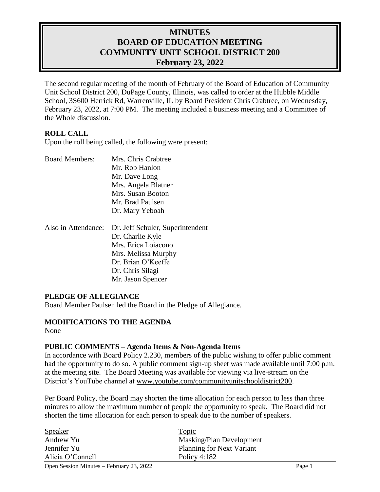# **MINUTES BOARD OF EDUCATION MEETING COMMUNITY UNIT SCHOOL DISTRICT 200 February 23, 2022**

The second regular meeting of the month of February of the Board of Education of Community Unit School District 200, DuPage County, Illinois, was called to order at the Hubble Middle School, 3S600 Herrick Rd, Warrenville, IL by Board President Chris Crabtree, on Wednesday, February 23, 2022, at 7:00 PM. The meeting included a business meeting and a Committee of the Whole discussion.

### **ROLL CALL**

Upon the roll being called, the following were present:

| <b>Board Members:</b> | Mrs. Chris Crabtree                                  |
|-----------------------|------------------------------------------------------|
|                       | Mr. Rob Hanlon                                       |
|                       | Mr. Dave Long                                        |
|                       | Mrs. Angela Blatner                                  |
|                       | Mrs. Susan Booton                                    |
|                       | Mr. Brad Paulsen                                     |
|                       | Dr. Mary Yeboah                                      |
|                       |                                                      |
| Also in Attendance:   |                                                      |
|                       | Dr. Jeff Schuler, Superintendent<br>Dr. Charlie Kyle |
|                       | Mrs. Erica Loiacono                                  |
|                       | Mrs. Melissa Murphy                                  |
|                       | Dr. Brian O'Keeffe                                   |
|                       | Dr. Chris Silagi                                     |

#### **PLEDGE OF ALLEGIANCE**

Board Member Paulsen led the Board in the Pledge of Allegiance.

#### **MODIFICATIONS TO THE AGENDA** None

#### **PUBLIC COMMENTS – Agenda Items & Non-Agenda Items**

In accordance with Board Policy 2.230, members of the public wishing to offer public comment had the opportunity to do so. A public comment sign-up sheet was made available until 7:00 p.m. at the meeting site. The Board Meeting was available for viewing via live-stream on the District's YouTube channel at [www.youtube.com/communityunitschooldistrict200.](http://www.youtube.com/communityunitschooldistrict200)

Per Board Policy, the Board may shorten the time allocation for each person to less than three minutes to allow the maximum number of people the opportunity to speak. The Board did not shorten the time allocation for each person to speak due to the number of speakers.

| <b>Speaker</b>   | <b>Topic</b>                     |  |
|------------------|----------------------------------|--|
| Andrew Yu        | Masking/Plan Development         |  |
| Jennifer Yu      | <b>Planning for Next Variant</b> |  |
| Alicia O'Connell | Policy $4:182$                   |  |
|                  |                                  |  |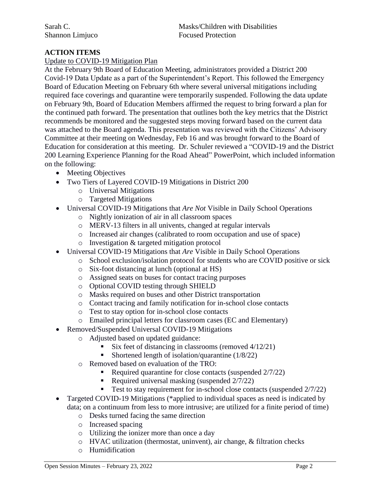### **ACTION ITEMS**

#### Update to COVID-19 Mitigation Plan

At the February 9th Board of Education Meeting, administrators provided a District 200 Covid-19 Data Update as a part of the Superintendent's Report. This followed the Emergency Board of Education Meeting on February 6th where several universal mitigations including required face coverings and quarantine were temporarily suspended. Following the data update on February 9th, Board of Education Members affirmed the request to bring forward a plan for the continued path forward. The presentation that outlines both the key metrics that the District recommends be monitored and the suggested steps moving forward based on the current data was attached to the Board agenda. This presentation was reviewed with the Citizens' Advisory Committee at their meeting on Wednesday, Feb 16 and was brought forward to the Board of Education for consideration at this meeting. Dr. Schuler reviewed a "COVID-19 and the District 200 Learning Experience Planning for the Road Ahead" PowerPoint, which included information on the following:

- Meeting Objectives
- Two Tiers of Layered COVID-19 Mitigations in District 200
	- o Universal Mitigations
	- o Targeted Mitigations
- Universal COVID-19 Mitigations that *Are Not* Visible in Daily School Operations
	- o Nightly ionization of air in all classroom spaces
	- o MERV-13 filters in all univents, changed at regular intervals
	- o Increased air changes (calibrated to room occupation and use of space)
	- o Investigation & targeted mitigation protocol
- Universal COVID-19 Mitigations that *Are* Visible in Daily School Operations
	- o School exclusion/isolation protocol for students who are COVID positive or sick
		- o Six-foot distancing at lunch (optional at HS)
	- o Assigned seats on buses for contact tracing purposes
	- o Optional COVID testing through SHIELD
	- o Masks required on buses and other District transportation
	- o Contact tracing and family notification for in-school close contacts
	- o Test to stay option for in-school close contacts
	- o Emailed principal letters for classroom cases (EC and Elementary)
- Removed/Suspended Universal COVID-19 Mitigations
	- o Adjusted based on updated guidance:
		- Six feet of distancing in classrooms (removed 4/12/21)
		- Shortened length of isolation/quarantine  $(1/8/22)$
	- o Removed based on evaluation of the TRO:
		- Required quarantine for close contacts (suspended  $2/7/22$ )
		- Required universal masking (suspended 2/7/22)
		- Test to stay requirement for in-school close contacts (suspended  $2/7/22$ )
- Targeted COVID-19 Mitigations (\*applied to individual spaces as need is indicated by data; on a continuum from less to more intrusive; are utilized for a finite period of time)
	- o Desks turned facing the same direction
	- o Increased spacing
	- o Utilizing the ionizer more than once a day
	- o HVAC utilization (thermostat, uninvent), air change, & filtration checks
	- o Humidification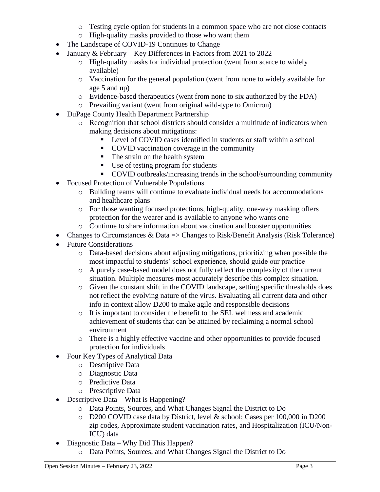- o Testing cycle option for students in a common space who are not close contacts
- o High-quality masks provided to those who want them
- The Landscape of COVID-19 Continues to Change
- January & February Key Differences in Factors from 2021 to 2022
	- o High-quality masks for individual protection (went from scarce to widely available)
	- o Vaccination for the general population (went from none to widely available for age 5 and up)
	- o Evidence-based therapeutics (went from none to six authorized by the FDA)
	- o Prevailing variant (went from original wild-type to Omicron)
- DuPage County Health Department Partnership
	- o Recognition that school districts should consider a multitude of indicators when making decisions about mitigations:
		- **Level of COVID cases identified in students or staff within a school**
		- COVID vaccination coverage in the community
		- The strain on the health system
		- Use of testing program for students
		- COVID outbreaks/increasing trends in the school/surrounding community
- Focused Protection of Vulnerable Populations
	- o Building teams will continue to evaluate individual needs for accommodations and healthcare plans
	- o For those wanting focused protections, high-quality, one-way masking offers protection for the wearer and is available to anyone who wants one
	- o Continue to share information about vaccination and booster opportunities
- Changes to Circumstances & Data  $\Rightarrow$  Changes to Risk/Benefit Analysis (Risk Tolerance)
- Future Considerations
	- o Data-based decisions about adjusting mitigations, prioritizing when possible the most impactful to students' school experience, should guide our practice
	- o A purely case-based model does not fully reflect the complexity of the current situation. Multiple measures most accurately describe this complex situation.
	- o Given the constant shift in the COVID landscape, setting specific thresholds does not reflect the evolving nature of the virus. Evaluating all current data and other info in context allow D200 to make agile and responsible decisions
	- o It is important to consider the benefit to the SEL wellness and academic achievement of students that can be attained by reclaiming a normal school environment
	- o There is a highly effective vaccine and other opportunities to provide focused protection for individuals
- Four Key Types of Analytical Data
	- o Descriptive Data
	- o Diagnostic Data
	- o Predictive Data
	- o Prescriptive Data
- Descriptive Data What is Happening?
	- o Data Points, Sources, and What Changes Signal the District to Do
	- o D200 COVID case data by District, level & school; Cases per 100,000 in D200 zip codes, Approximate student vaccination rates, and Hospitalization (ICU/Non-ICU) data
- Diagnostic Data Why Did This Happen?
	- o Data Points, Sources, and What Changes Signal the District to Do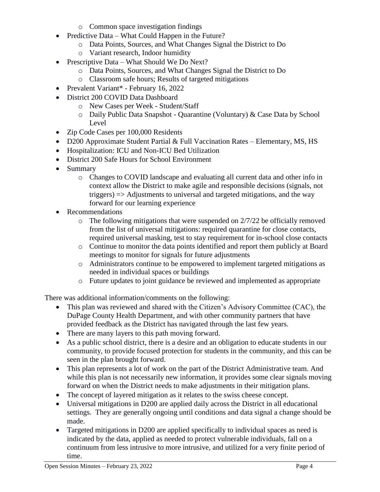- o Common space investigation findings
- Predictive Data What Could Happen in the Future?
	- o Data Points, Sources, and What Changes Signal the District to Do
	- o Variant research, Indoor humidity
- Prescriptive Data What Should We Do Next?
	- o Data Points, Sources, and What Changes Signal the District to Do
	- o Classroom safe hours; Results of targeted mitigations
- Prevalent Variant\* February 16, 2022
- District 200 COVID Data Dashboard
	- o New Cases per Week Student/Staff
	- o Daily Public Data Snapshot Quarantine (Voluntary) & Case Data by School Level
- Zip Code Cases per 100,000 Residents
- D200 Approximate Student Partial & Full Vaccination Rates Elementary, MS, HS
- Hospitalization: ICU and Non-ICU Bed Utilization
- District 200 Safe Hours for School Environment
- Summary
	- o Changes to COVID landscape and evaluating all current data and other info in context allow the District to make agile and responsible decisions (signals, not triggers) => Adjustments to universal and targeted mitigations, and the way forward for our learning experience
- Recommendations
	- $\circ$  The following mitigations that were suspended on 2/7/22 be officially removed from the list of universal mitigations: required quarantine for close contacts, required universal masking, test to stay requirement for in-school close contacts
	- o Continue to monitor the data points identified and report them publicly at Board meetings to monitor for signals for future adjustments
	- o Administrators continue to be empowered to implement targeted mitigations as needed in individual spaces or buildings
	- o Future updates to joint guidance be reviewed and implemented as appropriate

There was additional information/comments on the following:

- This plan was reviewed and shared with the Citizen's Advisory Committee (CAC), the DuPage County Health Department, and with other community partners that have provided feedback as the District has navigated through the last few years.
- There are many layers to this path moving forward.
- As a public school district, there is a desire and an obligation to educate students in our community, to provide focused protection for students in the community, and this can be seen in the plan brought forward.
- This plan represents a lot of work on the part of the District Administrative team. And while this plan is not necessarily new information, it provides some clear signals moving forward on when the District needs to make adjustments in their mitigation plans.
- The concept of layered mitigation as it relates to the swiss cheese concept.
- Universal mitigations in D200 are applied daily across the District in all educational settings. They are generally ongoing until conditions and data signal a change should be made.
- Targeted mitigations in D200 are applied specifically to individual spaces as need is indicated by the data, applied as needed to protect vulnerable individuals, fall on a continuum from less intrusive to more intrusive, and utilized for a very finite period of time.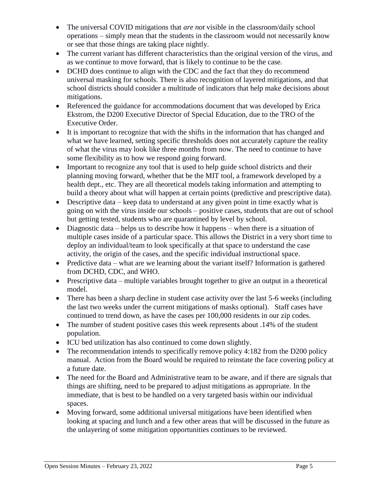- The universal COVID mitigations that *are not* visible in the classroom/daily school operations – simply mean that the students in the classroom would not necessarily know or see that those things are taking place nightly.
- The current variant has different characteristics than the original version of the virus, and as we continue to move forward, that is likely to continue to be the case.
- DCHD does continue to align with the CDC and the fact that they do recommend universal masking for schools. There is also recognition of layered mitigations, and that school districts should consider a multitude of indicators that help make decisions about mitigations.
- Referenced the guidance for accommodations document that was developed by Erica Ekstrom, the D200 Executive Director of Special Education, due to the TRO of the Executive Order.
- It is important to recognize that with the shifts in the information that has changed and what we have learned, setting specific thresholds does not accurately capture the reality of what the virus may look like three months from now. The need to continue to have some flexibility as to how we respond going forward.
- Important to recognize any tool that is used to help guide school districts and their planning moving forward, whether that be the MIT tool, a framework developed by a health dept., etc. They are all theoretical models taking information and attempting to build a theory about what will happen at certain points (predictive and prescriptive data).
- Descriptive data keep data to understand at any given point in time exactly what is going on with the virus inside our schools – positive cases, students that are out of school but getting tested, students who are quarantined by level by school.
- Diagnostic data helps us to describe how it happens when there is a situation of multiple cases inside of a particular space. This allows the District in a very short time to deploy an individual/team to look specifically at that space to understand the case activity, the origin of the cases, and the specific individual instructional space.
- Predictive data what are we learning about the variant itself? Information is gathered from DCHD, CDC, and WHO.
- Prescriptive data multiple variables brought together to give an output in a theoretical model.
- There has been a sharp decline in student case activity over the last 5-6 weeks (including the last two weeks under the current mitigations of masks optional). Staff cases have continued to trend down, as have the cases per 100,000 residents in our zip codes.
- The number of student positive cases this week represents about .14% of the student population.
- ICU bed utilization has also continued to come down slightly.
- The recommendation intends to specifically remove policy 4:182 from the D200 policy manual. Action from the Board would be required to reinstate the face covering policy at a future date.
- The need for the Board and Administrative team to be aware, and if there are signals that things are shifting, need to be prepared to adjust mitigations as appropriate. In the immediate, that is best to be handled on a very targeted basis within our individual spaces.
- Moving forward, some additional universal mitigations have been identified when looking at spacing and lunch and a few other areas that will be discussed in the future as the unlayering of some mitigation opportunities continues to be reviewed.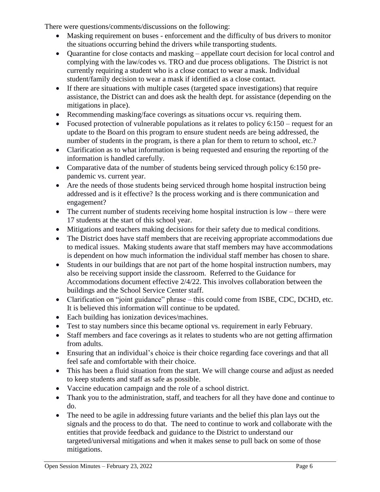There were questions/comments/discussions on the following:

- Masking requirement on buses enforcement and the difficulty of bus drivers to monitor the situations occurring behind the drivers while transporting students.
- Quarantine for close contacts and masking appellate court decision for local control and complying with the law/codes vs. TRO and due process obligations. The District is not currently requiring a student who is a close contact to wear a mask. Individual student/family decision to wear a mask if identified as a close contact.
- If there are situations with multiple cases (targeted space investigations) that require assistance, the District can and does ask the health dept. for assistance (depending on the mitigations in place).
- Recommending masking/face coverings as situations occur vs. requiring them.
- Focused protection of vulnerable populations as it relates to policy  $6:150$  request for an update to the Board on this program to ensure student needs are being addressed, the number of students in the program, is there a plan for them to return to school, etc.?
- Clarification as to what information is being requested and ensuring the reporting of the information is handled carefully.
- Comparative data of the number of students being serviced through policy 6:150 prepandemic vs. current year.
- Are the needs of those students being serviced through home hospital instruction being addressed and is it effective? Is the process working and is there communication and engagement?
- The current number of students receiving home hospital instruction is low there were 17 students at the start of this school year.
- Mitigations and teachers making decisions for their safety due to medical conditions.
- The District does have staff members that are receiving appropriate accommodations due to medical issues. Making students aware that staff members may have accommodations is dependent on how much information the individual staff member has chosen to share.
- Students in our buildings that are not part of the home hospital instruction numbers, may also be receiving support inside the classroom. Referred to the Guidance for Accommodations document effective 2/4/22. This involves collaboration between the buildings and the School Service Center staff.
- Clarification on "joint guidance" phrase this could come from ISBE, CDC, DCHD, etc. It is believed this information will continue to be updated.
- Each building has ionization devices/machines.
- Test to stay numbers since this became optional vs. requirement in early February.
- Staff members and face coverings as it relates to students who are not getting affirmation from adults.
- Ensuring that an individual's choice is their choice regarding face coverings and that all feel safe and comfortable with their choice.
- This has been a fluid situation from the start. We will change course and adjust as needed to keep students and staff as safe as possible.
- Vaccine education campaign and the role of a school district.
- Thank you to the administration, staff, and teachers for all they have done and continue to do.
- The need to be agile in addressing future variants and the belief this plan lays out the signals and the process to do that. The need to continue to work and collaborate with the entities that provide feedback and guidance to the District to understand our targeted/universal mitigations and when it makes sense to pull back on some of those mitigations.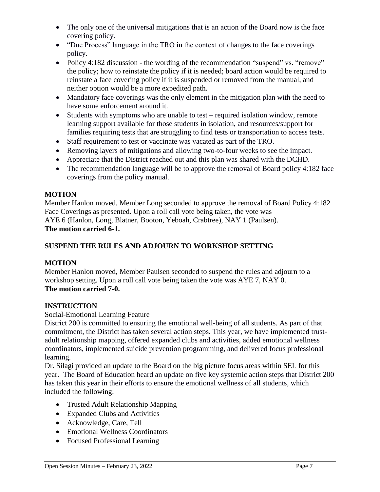- The only one of the universal mitigations that is an action of the Board now is the face covering policy.
- "Due Process" language in the TRO in the context of changes to the face coverings policy.
- Policy 4:182 discussion the wording of the recommendation "suspend" vs. "remove" the policy; how to reinstate the policy if it is needed; board action would be required to reinstate a face covering policy if it is suspended or removed from the manual, and neither option would be a more expedited path.
- Mandatory face coverings was the only element in the mitigation plan with the need to have some enforcement around it.
- Students with symptoms who are unable to test required isolation window, remote learning support available for those students in isolation, and resources/support for families requiring tests that are struggling to find tests or transportation to access tests.
- Staff requirement to test or vaccinate was vacated as part of the TRO.
- Removing layers of mitigations and allowing two-to-four weeks to see the impact.
- Appreciate that the District reached out and this plan was shared with the DCHD.
- The recommendation language will be to approve the removal of Board policy 4:182 face coverings from the policy manual.

## **MOTION**

Member Hanlon moved, Member Long seconded to approve the removal of Board Policy 4:182 Face Coverings as presented. Upon a roll call vote being taken, the vote was AYE 6 (Hanlon, Long, Blatner, Booton, Yeboah, Crabtree), NAY 1 (Paulsen). **The motion carried 6-1.** 

## **SUSPEND THE RULES AND ADJOURN TO WORKSHOP SETTING**

## **MOTION**

Member Hanlon moved, Member Paulsen seconded to suspend the rules and adjourn to a workshop setting. Upon a roll call vote being taken the vote was AYE 7, NAY 0. **The motion carried 7-0.**

## **INSTRUCTION**

## Social-Emotional Learning Feature

District 200 is committed to ensuring the emotional well-being of all students. As part of that commitment, the District has taken several action steps. This year, we have implemented trustadult relationship mapping, offered expanded clubs and activities, added emotional wellness coordinators, implemented suicide prevention programming, and delivered focus professional learning.

Dr. Silagi provided an update to the Board on the big picture focus areas within SEL for this year. The Board of Education heard an update on five key systemic action steps that District 200 has taken this year in their efforts to ensure the emotional wellness of all students, which included the following:

- Trusted Adult Relationship Mapping
- Expanded Clubs and Activities
- Acknowledge, Care, Tell
- Emotional Wellness Coordinators
- Focused Professional Learning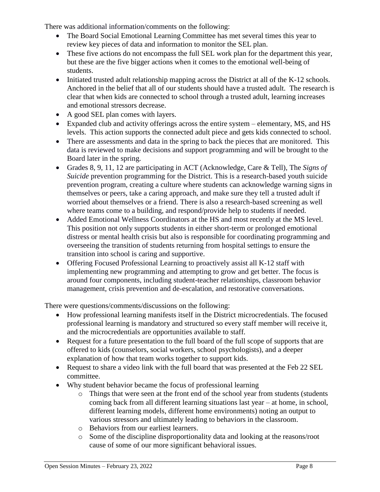There was additional information/comments on the following:

- The Board Social Emotional Learning Committee has met several times this year to review key pieces of data and information to monitor the SEL plan.
- These five actions do not encompass the full SEL work plan for the department this year, but these are the five bigger actions when it comes to the emotional well-being of students.
- $\bullet$  Initiated trusted adult relationship mapping across the District at all of the K-12 schools. Anchored in the belief that all of our students should have a trusted adult. The research is clear that when kids are connected to school through a trusted adult, learning increases and emotional stressors decrease.
- A good SEL plan comes with layers.
- Expanded club and activity offerings across the entire system elementary, MS, and HS levels. This action supports the connected adult piece and gets kids connected to school.
- There are assessments and data in the spring to back the pieces that are monitored. This data is reviewed to make decisions and support programming and will be brought to the Board later in the spring.
- Grades 8, 9, 11, 12 are participating in ACT (Acknowledge, Care & Tell), The *Signs of Suicide* prevention programming for the District. This is a research-based youth suicide prevention program, creating a culture where students can acknowledge warning signs in themselves or peers, take a caring approach, and make sure they tell a trusted adult if worried about themselves or a friend. There is also a research-based screening as well where teams come to a building, and respond/provide help to students if needed.
- Added Emotional Wellness Coordinators at the HS and most recently at the MS level. This position not only supports students in either short-term or prolonged emotional distress or mental health crisis but also is responsible for coordinating programming and overseeing the transition of students returning from hospital settings to ensure the transition into school is caring and supportive.
- Offering Focused Professional Learning to proactively assist all K-12 staff with implementing new programming and attempting to grow and get better. The focus is around four components, including student-teacher relationships, classroom behavior management, crisis prevention and de-escalation, and restorative conversations.

There were questions/comments/discussions on the following:

- How professional learning manifests itself in the District microcredentials. The focused professional learning is mandatory and structured so every staff member will receive it, and the microcredentials are opportunities available to staff.
- Request for a future presentation to the full board of the full scope of supports that are offered to kids (counselors, social workers, school psychologists), and a deeper explanation of how that team works together to support kids.
- Request to share a video link with the full board that was presented at the Feb 22 SEL committee.
- Why student behavior became the focus of professional learning
	- o Things that were seen at the front end of the school year from students (students coming back from all different learning situations last year – at home, in school, different learning models, different home environments) noting an output to various stressors and ultimately leading to behaviors in the classroom.
	- o Behaviors from our earliest learners.
	- o Some of the discipline disproportionality data and looking at the reasons/root cause of some of our more significant behavioral issues.